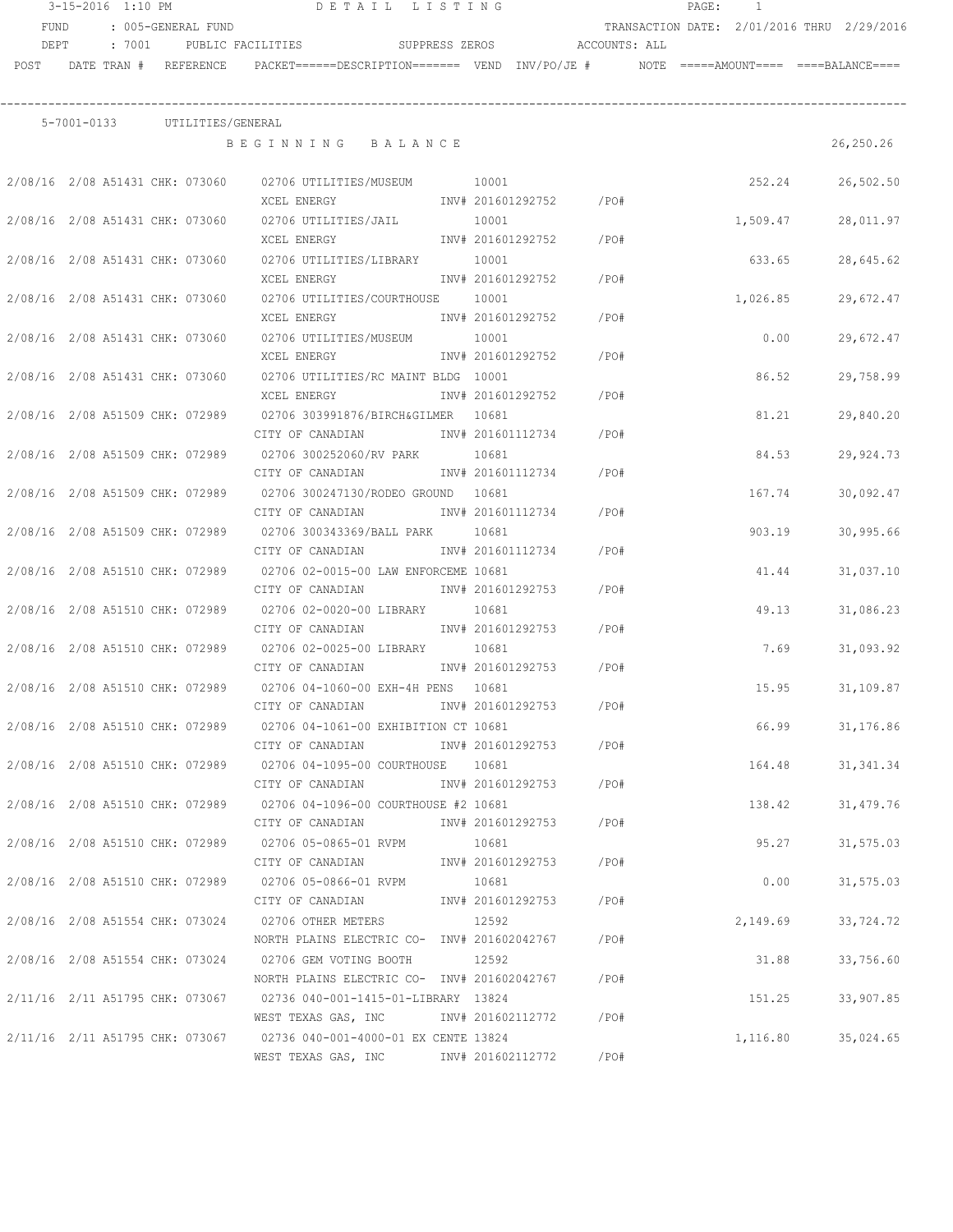|      |                                 |                               | 3-15-2016 1:10 PM DETAIL LISTING                                                          | PAGE: 1                |      |  |          |                                            |
|------|---------------------------------|-------------------------------|-------------------------------------------------------------------------------------------|------------------------|------|--|----------|--------------------------------------------|
| FUND |                                 | : 005-GENERAL FUND            |                                                                                           |                        |      |  |          | TRANSACTION DATE: 2/01/2016 THRU 2/29/2016 |
| DEPT | : 7001                          |                               | PUBLIC FACILITIES SUPPRESS ZEROS ACCOUNTS: ALL                                            |                        |      |  |          |                                            |
| POST | DATE TRAN # REFERENCE           |                               | PACKET======DESCRIPTION======= VEND INV/PO/JE #     NOTE =====AMOUNT====  ====BALANCE==== |                        |      |  |          |                                            |
|      |                                 |                               |                                                                                           |                        |      |  |          |                                            |
|      |                                 | 5-7001-0133 UTILITIES/GENERAL |                                                                                           |                        |      |  |          |                                            |
|      |                                 |                               | BEGINNING BALANCE                                                                         |                        |      |  |          | 26,250.26                                  |
|      |                                 |                               | 2/08/16 2/08 A51431 CHK: 073060 02706 UTILITIES/MUSEUM 10001                              |                        |      |  | 252.24   | 26,502.50                                  |
|      |                                 |                               | XCEL ENERGY                                                                               | INV# 201601292752 /PO# |      |  |          |                                            |
|      | 2/08/16 2/08 A51431 CHK: 073060 |                               | 02706 UTILITIES/JAIL                                                                      | 10001                  |      |  | 1,509.47 | 28,011.97                                  |
|      |                                 |                               | XCEL ENERGY                                                                               | INV# 201601292752      | /PO# |  |          |                                            |
|      | 2/08/16 2/08 A51431 CHK: 073060 |                               | 02706 UTILITIES/LIBRARY 10001                                                             |                        |      |  | 633.65   | 28,645.62                                  |
|      |                                 |                               | XCEL ENERGY                                                                               | INV# 201601292752 /PO# |      |  |          |                                            |
|      |                                 |                               | 2/08/16  2/08  A51431  CHK: 073060  02706  UTILITIES/COURTHOUSE  10001                    |                        |      |  | 1,026.85 | 29,672.47                                  |
|      |                                 |                               | XCEL ENERGY 1NV# 201601292752                                                             |                        | /PO# |  |          |                                            |
|      | 2/08/16 2/08 A51431 CHK: 073060 |                               | 02706 UTILITIES/MUSEUM 10001                                                              |                        |      |  | 0.00     | 29,672.47                                  |
|      |                                 |                               | XCEL ENERGY                                                                               | INV# 201601292752 /PO# |      |  |          |                                            |
|      | 2/08/16 2/08 A51431 CHK: 073060 |                               | 02706 UTILITIES/RC MAINT BLDG 10001                                                       |                        |      |  | 86.52    | 29,758.99                                  |
|      |                                 |                               | XCEL ENERGY                                                                               | INV# 201601292752      | /PO# |  |          |                                            |
|      |                                 |                               | 2/08/16 2/08 A51509 CHK: 072989 02706 303991876/BIRCH&GILMER 10681                        |                        |      |  | 81.21    | 29,840.20                                  |
|      |                                 |                               | CITY OF CANADIAN               INV# 201601112734                                          |                        | /PO# |  |          |                                            |
|      | 2/08/16 2/08 A51509 CHK: 072989 |                               | 02706 300252060/RV PARK 10681                                                             |                        |      |  | 84.53    | 29,924.73                                  |
|      |                                 |                               | CITY OF CANADIAN                                                                          | INV# 201601112734      | /PO# |  |          |                                            |
|      | 2/08/16 2/08 A51509 CHK: 072989 |                               | 02706 300247130/RODEO GROUND 10681                                                        |                        |      |  | 167.74   | 30,092.47                                  |
|      |                                 |                               | CITY OF CANADIAN                                                                          | INV# 201601112734      | /PO# |  |          |                                            |
|      |                                 |                               | 2/08/16 2/08 A51509 CHK: 072989 02706 300343369/BALL PARK 10681                           |                        |      |  | 903.19   | 30,995.66                                  |
|      |                                 |                               | CITY OF CANADIAN                                                                          | INV# 201601112734      | /PO# |  |          |                                            |
|      |                                 |                               | 2/08/16 2/08 A51510 CHK: 072989 02706 02-0015-00 LAW ENFORCEME 10681                      |                        |      |  | 41.44    | 31,037.10                                  |
|      |                                 |                               | CITY OF CANADIAN                                                                          | INV# 201601292753      | /PO# |  |          |                                            |
|      | 2/08/16 2/08 A51510 CHK: 072989 |                               | 02706 02-0020-00 LIBRARY                                                                  | 10681                  |      |  | 49.13    | 31,086.23                                  |
|      |                                 |                               | CITY OF CANADIAN MW# 201601292753                                                         |                        | /PO# |  |          |                                            |
|      |                                 |                               | 2/08/16 2/08 A51510 CHK: 072989 02706 02-0025-00 LIBRARY 10681                            |                        |      |  | 7.69     | 31,093.92                                  |
|      |                                 |                               | CITY OF CANADIAN 1NV# 201601292753                                                        |                        | /PO# |  |          |                                            |
|      | 2/08/16 2/08 A51510 CHK: 072989 |                               | 02706 04-1060-00 EXH-4H PENS 10681                                                        |                        |      |  | 15.95    | 31,109.87                                  |
|      |                                 |                               | CITY OF CANADIAN                                                                          | INV# 201601292753      | /PO# |  |          |                                            |
|      |                                 |                               | 2/08/16 2/08 A51510 CHK: 072989 02706 04-1061-00 EXHIBITION CT 10681                      |                        |      |  | 66.99    | 31,176.86                                  |
|      |                                 |                               | CITY OF CANADIAN                                                                          | INV# 201601292753 /PO# |      |  |          |                                            |
|      |                                 |                               | 2/08/16 2/08 A51510 CHK: 072989 02706 04-1095-00 COURTHOUSE 10681                         |                        |      |  | 164.48   | 31, 341.34                                 |
|      |                                 |                               | CITY OF CANADIAN                                                                          | INV# 201601292753 /PO# |      |  |          |                                            |
|      |                                 |                               | 2/08/16 2/08 A51510 CHK: 072989 02706 04-1096-00 COURTHOUSE #2 10681                      |                        |      |  | 138.42   | 31,479.76                                  |
|      |                                 |                               | CITY OF CANADIAN                                                                          | INV# 201601292753 /PO# |      |  |          |                                            |
|      |                                 |                               | 2/08/16 2/08 A51510 CHK: 072989 02706 05-0865-01 RVPM                                     | 10681                  |      |  | 95.27    | 31,575.03                                  |
|      |                                 |                               | CITY OF CANADIAN                                                                          | INV# 201601292753 /PO# |      |  |          |                                            |
|      |                                 |                               | 2/08/16 2/08 A51510 CHK: 072989 02706 05-0866-01 RVPM                                     | 10681                  |      |  | 0.00     | 31,575.03                                  |
|      |                                 |                               | CITY OF CANADIAN MW# 201601292753 /PO#                                                    |                        |      |  |          |                                            |
|      |                                 |                               | 2/08/16 2/08 A51554 CHK: 073024 02706 OTHER METERS                                        | 12592                  |      |  | 2,149.69 | 33,724.72                                  |
|      |                                 |                               | NORTH PLAINS ELECTRIC CO- INV# 201602042767 / PO#                                         |                        |      |  |          |                                            |
|      |                                 |                               | 2/08/16 2/08 A51554 CHK: 073024 02706 GEM VOTING BOOTH 12592                              |                        |      |  | 31.88    | 33,756.60                                  |
|      |                                 |                               | NORTH PLAINS ELECTRIC CO- INV# 201602042767 / PO#                                         |                        |      |  |          |                                            |
|      |                                 |                               | 2/11/16 2/11 A51795 CHK: 073067 02736 040-001-1415-01-LIBRARY 13824                       |                        |      |  | 151.25   | 33,907.85                                  |
|      |                                 |                               | WEST TEXAS GAS, INC MONTH 201602112772 / PO#                                              |                        |      |  |          |                                            |
|      |                                 |                               | 2/11/16 2/11 A51795 CHK: 073067 02736 040-001-4000-01 EX CENTE 13824                      |                        |      |  | 1,116.80 | 35,024.65                                  |
|      |                                 |                               | WEST TEXAS GAS, INC METALL 201602112772 / PO#                                             |                        |      |  |          |                                            |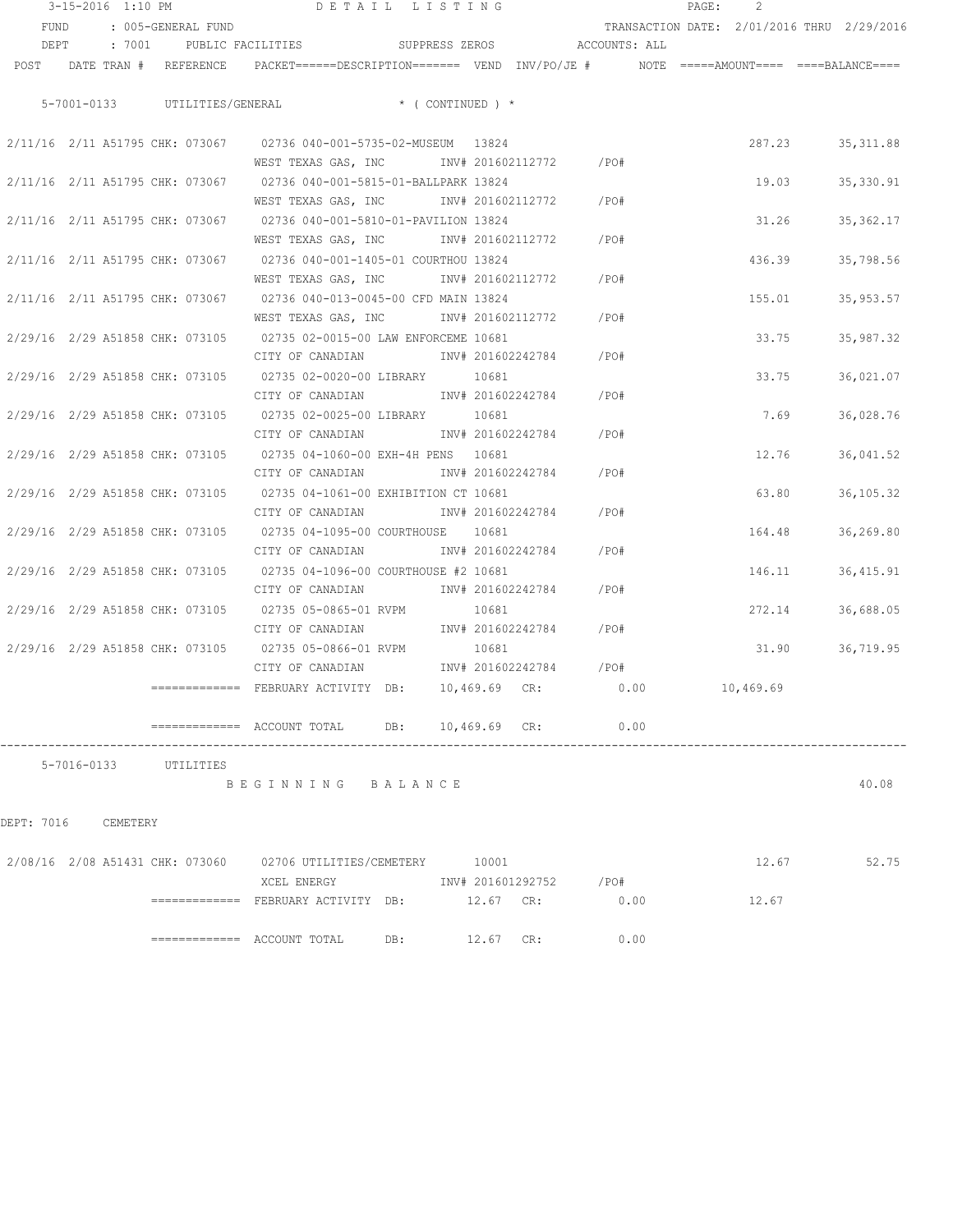|  |  | 3-15-2016 1:10 PM               |                                                                                                                                                                                                                                                                                                                                                                            | DETAIL LISTING |       |                        |                              | $\texttt{PAGE}$ : |        |                                            |
|--|--|---------------------------------|----------------------------------------------------------------------------------------------------------------------------------------------------------------------------------------------------------------------------------------------------------------------------------------------------------------------------------------------------------------------------|----------------|-------|------------------------|------------------------------|-------------------|--------|--------------------------------------------|
|  |  | FUND : 005-GENERAL FUND         |                                                                                                                                                                                                                                                                                                                                                                            |                |       |                        |                              |                   |        | TRANSACTION DATE: 2/01/2016 THRU 2/29/2016 |
|  |  |                                 | DEPT : 7001 PUBLIC FACILITIES SUPPRESS ZEROS ACCOUNTS: ALL                                                                                                                                                                                                                                                                                                                 |                |       |                        |                              |                   |        |                                            |
|  |  |                                 | POST DATE TRAN # REFERENCE PACKET======DESCRIPTION======= VEND INV/PO/JE # NOTE =====AMOUNT==== ====BALANCE====                                                                                                                                                                                                                                                            |                |       |                        |                              |                   |        |                                            |
|  |  |                                 |                                                                                                                                                                                                                                                                                                                                                                            |                |       |                        |                              |                   |        |                                            |
|  |  |                                 | 5-7001-0133 UTILITIES/GENERAL * ( CONTINUED ) *                                                                                                                                                                                                                                                                                                                            |                |       |                        |                              |                   |        |                                            |
|  |  |                                 |                                                                                                                                                                                                                                                                                                                                                                            |                |       |                        |                              |                   |        |                                            |
|  |  |                                 | 2/11/16 2/11 A51795 CHK: 073067 02736 040-001-5735-02-MUSEUM 13824                                                                                                                                                                                                                                                                                                         |                |       |                        |                              |                   | 287.23 | 35, 311.88                                 |
|  |  |                                 | WEST TEXAS GAS, INC MONTH 201602112772 / PO#                                                                                                                                                                                                                                                                                                                               |                |       |                        |                              |                   |        |                                            |
|  |  |                                 | 2/11/16 2/11 A51795 CHK: 073067 02736 040-001-5815-01-BALLPARK 13824                                                                                                                                                                                                                                                                                                       |                |       |                        |                              |                   | 19.03  | 35,330.91                                  |
|  |  |                                 | WEST TEXAS GAS, INC METALL 201602112772 / PO#                                                                                                                                                                                                                                                                                                                              |                |       |                        |                              |                   |        |                                            |
|  |  |                                 | 2/11/16 2/11 A51795 CHK: 073067 02736 040-001-5810-01-PAVILION 13824                                                                                                                                                                                                                                                                                                       |                |       |                        |                              |                   | 31.26  | 35, 362.17                                 |
|  |  |                                 | WEST TEXAS GAS, INC        INV# 201602112772      /PO#                                                                                                                                                                                                                                                                                                                     |                |       |                        |                              |                   |        |                                            |
|  |  |                                 | 2/11/16 2/11 A51795 CHK: 073067 02736 040-001-1405-01 COURTHOU 13824                                                                                                                                                                                                                                                                                                       |                |       |                        |                              |                   | 436.39 | 35,798.56                                  |
|  |  |                                 | WEST TEXAS GAS, INC MONTH 201602112772                                                                                                                                                                                                                                                                                                                                     |                |       |                        | /PO#                         |                   |        |                                            |
|  |  |                                 | 2/11/16 2/11 A51795 CHK: 073067 02736 040-013-0045-00 CFD MAIN 13824                                                                                                                                                                                                                                                                                                       |                |       |                        |                              |                   | 155.01 | 35,953.57                                  |
|  |  |                                 | WEST TEXAS GAS, INC NOT INV# 201602112772                                                                                                                                                                                                                                                                                                                                  |                |       |                        | $/$ PO#                      |                   |        |                                            |
|  |  |                                 | 2/29/16 2/29 A51858 CHK: 073105 02735 02-0015-00 LAW ENFORCEME 10681                                                                                                                                                                                                                                                                                                       |                |       |                        |                              |                   | 33.75  | 35,987.32                                  |
|  |  |                                 | CITY OF CANADIAN 1NV# 201602242784 / PO#                                                                                                                                                                                                                                                                                                                                   |                |       |                        |                              |                   |        |                                            |
|  |  |                                 | 2/29/16 2/29 A51858 CHK: 073105 02735 02-0020-00 LIBRARY 10681                                                                                                                                                                                                                                                                                                             |                |       |                        |                              |                   | 33.75  | 36,021.07                                  |
|  |  |                                 | CITY OF CANADIAN 1NV# 201602242784                                                                                                                                                                                                                                                                                                                                         |                |       |                        | /PO#                         |                   |        |                                            |
|  |  |                                 | 2/29/16 2/29 A51858 CHK: 073105 02735 02-0025-00 LIBRARY 10681                                                                                                                                                                                                                                                                                                             |                |       |                        |                              |                   | 7.69   | 36,028.76                                  |
|  |  |                                 | CITY OF CANADIAN 1NV# 201602242784                                                                                                                                                                                                                                                                                                                                         |                |       |                        | /PO#                         |                   |        |                                            |
|  |  |                                 | 2/29/16 2/29 A51858 CHK: 073105 02735 04-1060-00 EXH-4H PENS 10681                                                                                                                                                                                                                                                                                                         |                |       |                        |                              |                   | 12.76  | 36,041.52                                  |
|  |  |                                 | CITY OF CANADIAN                                                                                                                                                                                                                                                                                                                                                           |                |       | INV# 201602242784      | /PO#                         |                   |        |                                            |
|  |  |                                 | 2/29/16 2/29 A51858 CHK: 073105 02735 04-1061-00 EXHIBITION CT 10681                                                                                                                                                                                                                                                                                                       |                |       |                        |                              |                   | 63.80  | 36, 105. 32                                |
|  |  |                                 | CITY OF CANADIAN                                                                                                                                                                                                                                                                                                                                                           |                |       | INV# 201602242784 /PO# |                              |                   |        |                                            |
|  |  |                                 | 2/29/16 2/29 A51858 CHK: 073105 02735 04-1095-00 COURTHOUSE 10681                                                                                                                                                                                                                                                                                                          |                |       |                        |                              |                   | 164.48 | 36,269.80                                  |
|  |  |                                 | CITY OF CANADIAN                                                                                                                                                                                                                                                                                                                                                           |                |       |                        | INV# 201602242784 /PO#       |                   |        |                                            |
|  |  |                                 | 2/29/16 2/29 A51858 CHK: 073105 02735 04-1096-00 COURTHOUSE #2 10681                                                                                                                                                                                                                                                                                                       |                |       |                        |                              |                   |        | 146.11 36,415.91                           |
|  |  |                                 | CITY OF CANADIAN                                                                                                                                                                                                                                                                                                                                                           |                |       | INV# 201602242784      | /PO#                         |                   |        |                                            |
|  |  | 2/29/16 2/29 A51858 CHK: 073105 | 02735 05-0865-01 RVPM                                                                                                                                                                                                                                                                                                                                                      |                | 10681 |                        |                              |                   | 272.14 | 36,688.05                                  |
|  |  |                                 | CITY OF CANADIAN                                                                                                                                                                                                                                                                                                                                                           |                |       |                        | INV# 201602242784 /PO#       |                   |        |                                            |
|  |  |                                 | 2/29/16 2/29 A51858 CHK: 073105 02735 05-0866-01 RVPM                                                                                                                                                                                                                                                                                                                      |                | 10681 |                        |                              |                   | 31.90  | 36,719.95                                  |
|  |  |                                 | CITY OF CANADIAN                                                                                                                                                                                                                                                                                                                                                           |                |       |                        | INV# 201602242784 /PO#       |                   |        |                                            |
|  |  |                                 | ============ FEBRUARY ACTIVITY DB:                                                                                                                                                                                                                                                                                                                                         |                |       |                        | 10,469.69 CR: 0.00 10,469.69 |                   |        |                                            |
|  |  |                                 | $\text{---}$ $\text{---}$ $\text{---}$ $\text{---}$ $\text{---}$ $\text{---}$ $\text{---}$ $\text{---}$ $\text{---}$ $\text{---}$ $\text{---}$ $\text{---}$ $\text{---}$ $\text{---}$ $\text{---}$ $\text{---}$ $\text{---}$ $\text{---}$ $\text{---}$ $\text{---}$ $\text{---}$ $\text{---}$ $\text{---}$ $\text{---}$ $\text{---}$ $\text{---}$ $\text{---}$ $\text{---$ |                |       |                        |                              |                   |        |                                            |
|  |  |                                 |                                                                                                                                                                                                                                                                                                                                                                            |                |       |                        |                              |                   |        |                                            |
|  |  | 5-7016-0133 UTILITIES           |                                                                                                                                                                                                                                                                                                                                                                            |                |       |                        |                              |                   |        |                                            |

B E G I N N I N G B A L A N C E 40.08

DEPT: 7016 CEMETERY

| 2/08/16 2/08 A51431 CHK: 073060 |  | 02706 UTILITIES/CEMETERY | 10001               |      | 12.67 | 52.75 |
|---------------------------------|--|--------------------------|---------------------|------|-------|-------|
|                                 |  | XCEL ENERGY              | INV# 201601292752   | /PO# |       |       |
|                                 |  | FEBRUARY ACTIVITY DB:    | $12.67 \text{ CR:}$ | 0.00 | 12.67 |       |
|                                 |  | ACCOUNT TOTAL<br>DB:     | CR:<br>12.67        | 0.00 |       |       |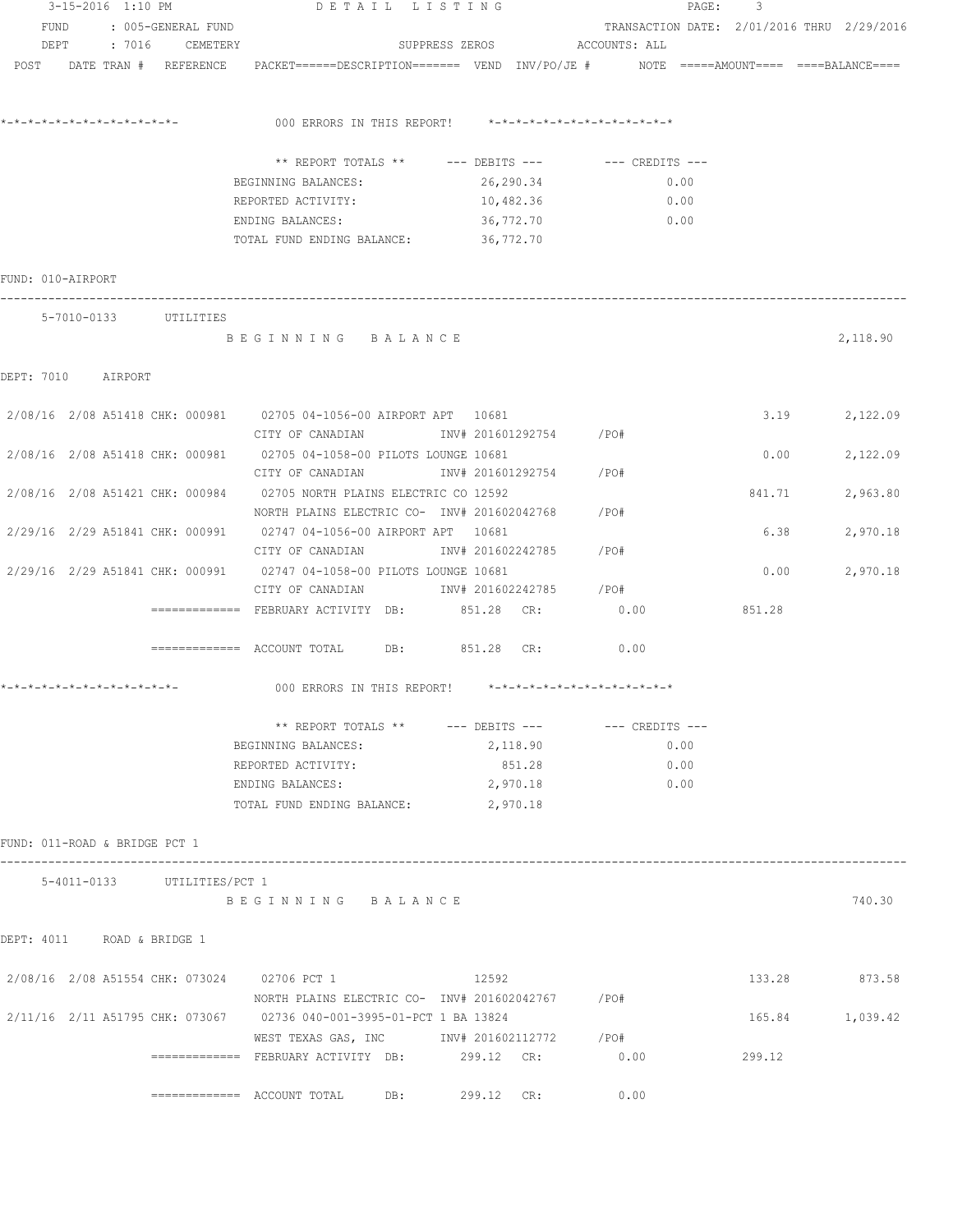|                               | 3-15-2016 1:10 PM |                             | DETAIL LISTING                                                                                                 |                              | PAGE:                                      | 3               |          |
|-------------------------------|-------------------|-----------------------------|----------------------------------------------------------------------------------------------------------------|------------------------------|--------------------------------------------|-----------------|----------|
|                               |                   | FUND : 005-GENERAL FUND     |                                                                                                                |                              | TRANSACTION DATE: 2/01/2016 THRU 2/29/2016 |                 |          |
|                               |                   | DEPT : 7016 CEMETERY        |                                                                                                                | SUPPRESS ZEROS ACCOUNTS: ALL |                                            |                 |          |
|                               |                   |                             | POST DATE TRAN # REFERENCE PACKET=====DESCRIPTION======= VEND INV/PO/JE # NOTE =====AMOUNT==== ====BALANCE==== |                              |                                            |                 |          |
|                               |                   |                             |                                                                                                                |                              |                                            |                 |          |
|                               |                   |                             | 000 ERRORS IN THIS REPORT! *-*-*-*-*-*-*-*-*-*-*-*-*-*-                                                        |                              |                                            |                 |          |
|                               |                   |                             |                                                                                                                |                              |                                            |                 |          |
|                               |                   |                             | ** REPORT TOTALS ** --- DEBITS --- -- -- CREDITS ---                                                           |                              |                                            |                 |          |
|                               |                   |                             | BEGINNING BALANCES:                                                                                            | 26,290.34                    | 0.00                                       |                 |          |
|                               |                   |                             | REPORTED ACTIVITY: 10,482.36                                                                                   |                              | 0.00                                       |                 |          |
|                               |                   |                             | ENDING BALANCES:                                                                                               | 36,772.70                    | 0.00                                       |                 |          |
|                               |                   |                             | TOTAL FUND ENDING BALANCE: 36,772.70                                                                           |                              |                                            |                 |          |
| FUND: 010-AIRPORT             |                   |                             |                                                                                                                |                              |                                            |                 |          |
|                               |                   | 5-7010-0133 UTILITIES       |                                                                                                                |                              |                                            |                 |          |
|                               |                   |                             | BEGINNING BALANCE                                                                                              |                              |                                            |                 | 2,118.90 |
|                               |                   |                             |                                                                                                                |                              |                                            |                 |          |
| DEPT: 7010 AIRPORT            |                   |                             |                                                                                                                |                              |                                            |                 |          |
|                               |                   |                             | 2/08/16 2/08 A51418 CHK: 000981 02705 04-1056-00 AIRPORT APT 10681                                             |                              |                                            | 3.19            | 2,122.09 |
|                               |                   |                             | CITY OF CANADIAN                  INV# 201601292754          /PO#                                              |                              |                                            |                 |          |
|                               |                   |                             | 2/08/16 2/08 A51418 CHK: 000981 02705 04-1058-00 PILOTS LOUNGE 10681                                           |                              |                                            | 0.00            | 2,122.09 |
|                               |                   |                             | CITY OF CANADIAN                INV# 201601292754        /PO#                                                  |                              |                                            |                 |          |
|                               |                   |                             | 2/08/16 2/08 A51421 CHK: 000984 02705 NORTH PLAINS ELECTRIC CO 12592                                           |                              |                                            | 841.71          | 2,963.80 |
|                               |                   |                             | NORTH PLAINS ELECTRIC CO- INV# 201602042768                                                                    |                              | /PO#                                       |                 |          |
|                               |                   |                             | 2/29/16 2/29 A51841 CHK: 000991 02747 04-1056-00 AIRPORT APT 10681                                             |                              |                                            | 6.38            | 2,970.18 |
|                               |                   |                             | CITY OF CANADIAN               INV# 201602242785                                                               |                              | /PO#                                       |                 |          |
|                               |                   |                             | 2/29/16 2/29 A51841 CHK: 000991 02747 04-1058-00 PILOTS LOUNGE 10681                                           |                              |                                            | 0.00            |          |
|                               |                   |                             | CITY OF CANADIAN 1NV# 201602242785 / PO#                                                                       |                              |                                            |                 | 2,970.18 |
|                               |                   |                             | ============ FEBRUARY ACTIVITY DB: 851.28 CR:                                                                  |                              | 0.00                                       | 851.28          |          |
|                               |                   |                             |                                                                                                                |                              |                                            |                 |          |
|                               |                   |                             | ============ ACCOUNT TOTAL DB: 851.28 CR: 0.00                                                                 |                              |                                            |                 |          |
|                               |                   |                             | 000 ERRORS IN THIS REPORT! $*-*-*-*-*-*-*-*-*-*-*-*-*-*-*$                                                     |                              |                                            |                 |          |
|                               |                   |                             | ** REPORT TOTALS ** --- DEBITS ---                                                                             |                              | --- CREDITS ---                            |                 |          |
|                               |                   |                             | BEGINNING BALANCES:                                                                                            | 2,118.90                     | 0.00                                       |                 |          |
|                               |                   |                             | REPORTED ACTIVITY:                                                                                             | 851.28                       | 0.00                                       |                 |          |
|                               |                   |                             | ENDING BALANCES:                                                                                               | 2,970.18                     | 0.00                                       |                 |          |
|                               |                   |                             | TOTAL FUND ENDING BALANCE: 2,970.18                                                                            |                              |                                            |                 |          |
|                               |                   |                             |                                                                                                                |                              |                                            |                 |          |
| FUND: 011-ROAD & BRIDGE PCT 1 |                   |                             |                                                                                                                |                              |                                            |                 |          |
|                               |                   | 5-4011-0133 UTILITIES/PCT 1 |                                                                                                                |                              |                                            |                 |          |
|                               |                   |                             | BEGINNING BALANCE                                                                                              |                              |                                            |                 | 740.30   |
|                               |                   |                             |                                                                                                                |                              |                                            |                 |          |
| DEPT: 4011 ROAD & BRIDGE 1    |                   |                             |                                                                                                                |                              |                                            |                 |          |
|                               |                   |                             |                                                                                                                |                              |                                            |                 |          |
|                               |                   |                             | 2/08/16 2/08 A51554 CHK: 073024 02706 PCT 1                                                                    | 12592                        |                                            | 133.28          | 873.58   |
|                               |                   |                             | NORTH PLAINS ELECTRIC CO- INV# 201602042767 / PO#                                                              |                              |                                            |                 |          |
|                               |                   |                             | 2/11/16 2/11 A51795 CHK: 073067 02736 040-001-3995-01-PCT 1 BA 13824                                           |                              |                                            | 165.84 1,039.42 |          |
|                               |                   |                             | WEST TEXAS GAS, INC NOT INV# 201602112772 / PO#                                                                |                              |                                            |                 |          |
|                               |                   |                             |                                                                                                                |                              | 0.00                                       | 299.12          |          |
|                               |                   |                             | DB:                                                                                                            | 299.12 CR:                   | 0.00                                       |                 |          |
|                               |                   |                             |                                                                                                                |                              |                                            |                 |          |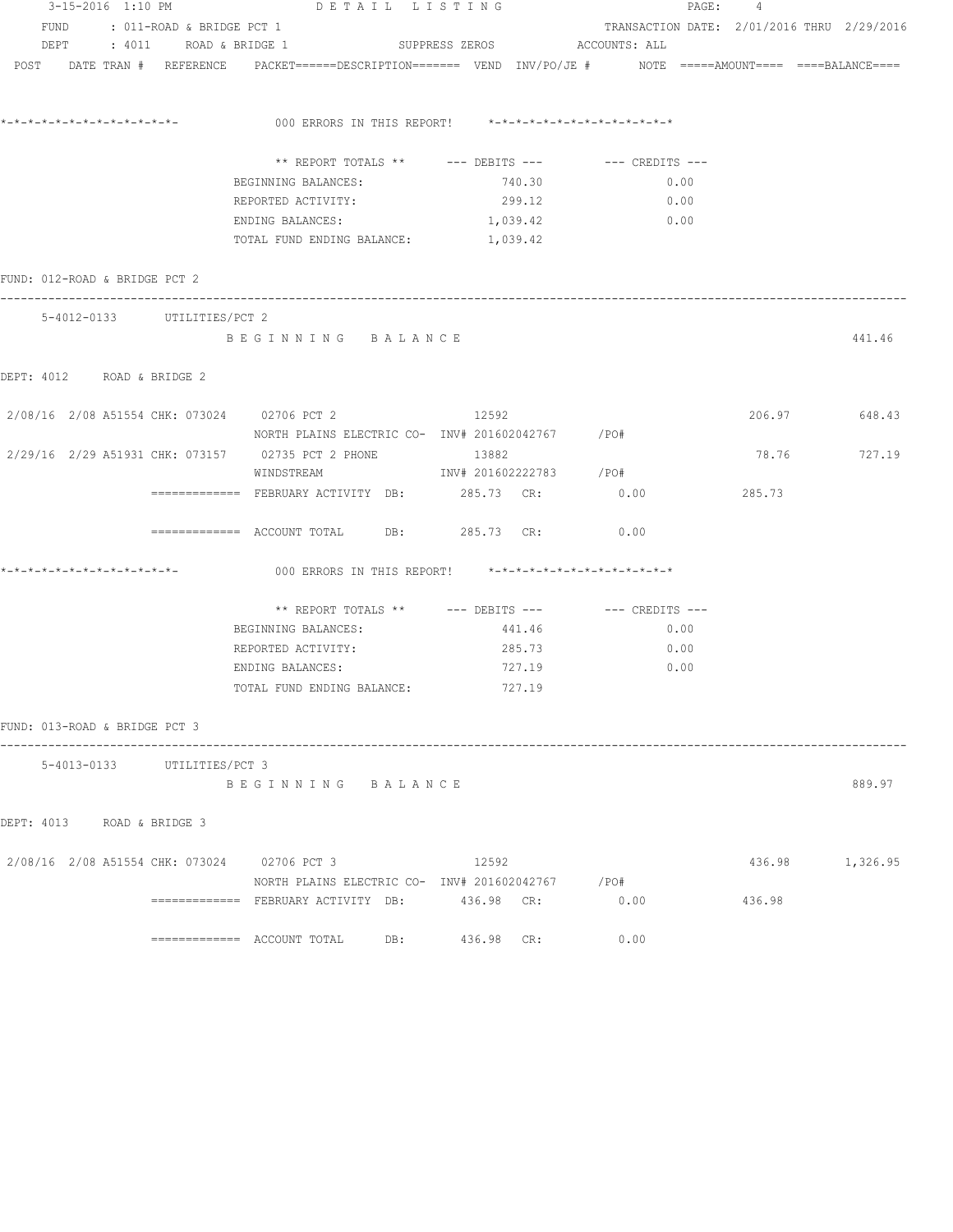|                                             |                                |                                                                                                                 | 3-15-2016 1:10 PM DETAIL LISTING |            |                        |      | PAGE: 4 |        |                                            |
|---------------------------------------------|--------------------------------|-----------------------------------------------------------------------------------------------------------------|----------------------------------|------------|------------------------|------|---------|--------|--------------------------------------------|
|                                             | FUND : 011-ROAD & BRIDGE PCT 1 |                                                                                                                 |                                  |            |                        |      |         |        | TRANSACTION DATE: 2/01/2016 THRU 2/29/2016 |
| DEPT : 4011 ROAD & BRIDGE 1                 |                                |                                                                                                                 | SUPPRESS ZEROS ACCOUNTS: ALL     |            |                        |      |         |        |                                            |
|                                             |                                | POST DATE TRAN # REFERENCE PACKET======DESCRIPTION======= VEND INV/PO/JE # NOTE =====AMOUNT==== ====BALANCE==== |                                  |            |                        |      |         |        |                                            |
|                                             |                                |                                                                                                                 |                                  |            |                        |      |         |        |                                            |
|                                             |                                |                                                                                                                 |                                  |            |                        |      |         |        |                                            |
|                                             |                                | ** REPORT TOTALS ** --- DEBITS --- -- -- CREDITS ---                                                            |                                  |            |                        |      |         |        |                                            |
|                                             |                                | BEGINNING BALANCES:                                                                                             |                                  | 740.30     |                        | 0.00 |         |        |                                            |
|                                             |                                | REPORTED ACTIVITY:                                                                                              |                                  |            | 299.12                 | 0.00 |         |        |                                            |
|                                             |                                | ENDING BALANCES:                                                                                                |                                  | 1,039.42   |                        | 0.00 |         |        |                                            |
|                                             |                                | TOTAL FUND ENDING BALANCE:                                                                                      |                                  | 1,039.42   |                        |      |         |        |                                            |
| FUND: 012-ROAD & BRIDGE PCT 2               |                                |                                                                                                                 |                                  |            |                        |      |         |        |                                            |
|                                             | 5-4012-0133 UTILITIES/PCT 2    |                                                                                                                 |                                  |            |                        |      |         |        |                                            |
|                                             |                                | BEGINNING BALANCE                                                                                               |                                  |            |                        |      |         |        | 441.46                                     |
| DEPT: 4012 ROAD & BRIDGE 2                  |                                |                                                                                                                 |                                  |            |                        |      |         |        |                                            |
|                                             |                                |                                                                                                                 |                                  |            |                        |      |         |        |                                            |
|                                             |                                | 2/08/16 2/08 A51554 CHK: 073024 02706 PCT 2 12592<br>NORTH PLAINS ELECTRIC CO- INV# 201602042767 / PO#          |                                  |            |                        |      |         |        | 206.97 648.43                              |
|                                             |                                | 2/29/16  2/29  A51931  CHK: 073157  02735  PCT  2  PHONE  13882                                                 |                                  |            |                        |      |         | 78.76  | 727.19                                     |
|                                             |                                | WINDSTREAM                                                                                                      |                                  |            | INV# 201602222783 /PO# |      |         |        |                                            |
|                                             |                                | ============ FEBRUARY ACTIVITY DB: 285.73 CR: 0.00                                                              |                                  |            |                        |      |         | 285.73 |                                            |
|                                             |                                | ============ ACCOUNT TOTAL DB: 285.73 CR: 0.00                                                                  |                                  |            |                        |      |         |        |                                            |
|                                             |                                | 000 ERRORS IN THIS REPORT! *-*-*-*-*-*-*-*-*-*-*-*-*-*-                                                         |                                  |            |                        |      |         |        |                                            |
|                                             |                                | ** REPORT TOTALS ** --- DEBITS --- -- -- CREDITS ---                                                            |                                  |            |                        |      |         |        |                                            |
|                                             |                                | BEGINNING BALANCES:                                                                                             |                                  |            | 441.46                 | 0.00 |         |        |                                            |
|                                             |                                | REPORTED ACTIVITY:                                                                                              |                                  | 285.73     |                        | 0.00 |         |        |                                            |
|                                             |                                | ENDING BALANCES:                                                                                                |                                  | 727.19     |                        | 0.00 |         |        |                                            |
|                                             |                                | TOTAL FUND ENDING BALANCE: 727.19                                                                               |                                  |            |                        |      |         |        |                                            |
| FUND: 013-ROAD & BRIDGE PCT 3               |                                |                                                                                                                 |                                  |            |                        |      |         |        |                                            |
|                                             | 5-4013-0133 UTILITIES/PCT 3    |                                                                                                                 |                                  |            |                        |      |         |        |                                            |
|                                             |                                | BEGINNING BALANCE                                                                                               |                                  |            |                        |      |         |        | 889.97                                     |
| DEPT: 4013 ROAD & BRIDGE 3                  |                                |                                                                                                                 |                                  |            |                        |      |         |        |                                            |
| 2/08/16 2/08 A51554 CHK: 073024 02706 PCT 3 |                                |                                                                                                                 | 12592                            |            |                        |      |         |        | 436.98 1,326.95                            |
|                                             |                                | NORTH PLAINS ELECTRIC CO- INV# 201602042767 / PO#                                                               |                                  |            |                        |      |         |        |                                            |
|                                             |                                | =============   FEBRUARY  ACTIVITY   DB:               436.98     CR:                                           |                                  |            |                        | 0.00 |         | 436.98 |                                            |
|                                             |                                |                                                                                                                 | DB:                              | 436.98 CR: |                        | 0.00 |         |        |                                            |